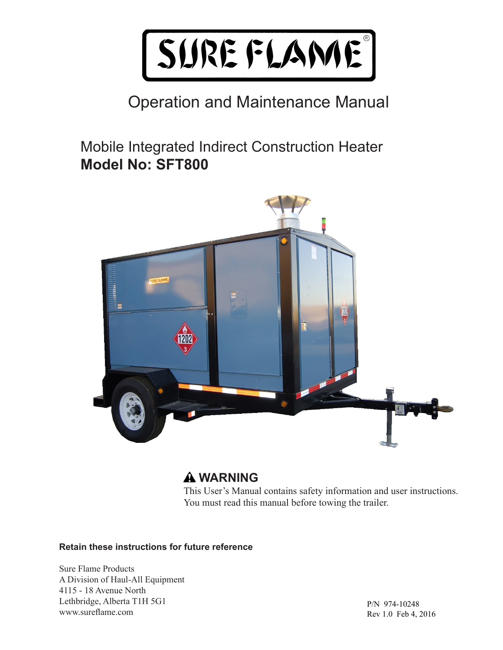

### Operation and Maintenance Manual

Mobile Integrated Indirect Construction Heater **Model No: SFT800**



### **WARNING**

This User's Manual contains safety information and user instructions. You must read this manual before towing the trailer.

#### **Retain these instructions for future reference**

Sure Flame Products A Division of Haul-All Equipment 4115 - 18 Avenue North Lethbridge, Alberta T1H 5G1 www.sureflame.com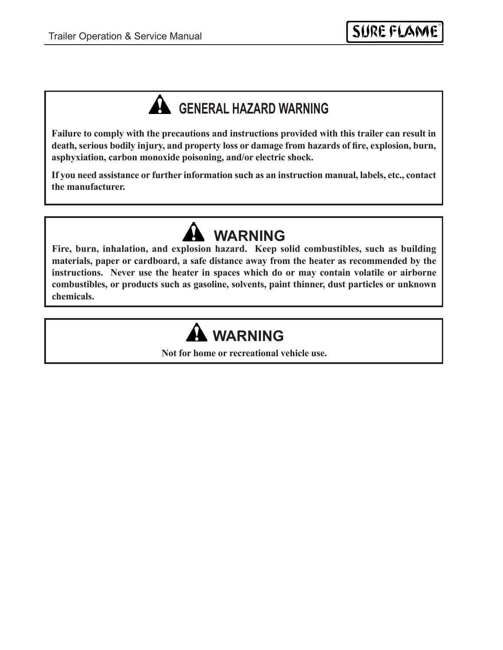## **A** GENERAL HAZARD WARNING

**Failure to comply with the precautions and instructions provided with this trailer can result in death, serious bodily injury, and property loss or damage from hazards of fire, explosion, burn, asphyxiation, carbon monoxide poisoning, and/or electric shock.**

**If you need assistance or further information such as an instruction manual, labels, etc., contact the manufacturer.**

**Fire, burn, inhalation, and explosion hazard. Keep solid combustibles, such as building materials, paper or cardboard, a safe distance away from the heater as recommended by the instructions. Never use the heater in spaces which do or may contain volatile or airborne combustibles, or products such as gasoline, solvents, paint thinner, dust particles or unknown chemicals. WARNING**

# **WARNING**

**Not for home or recreational vehicle use.**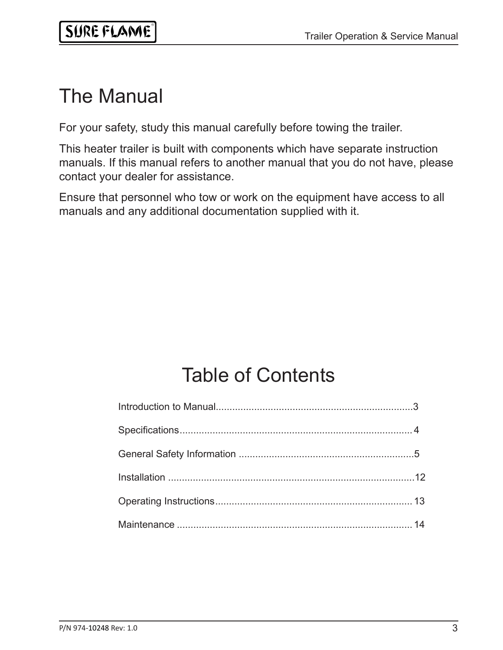## The Manual

For your safety, study this manual carefully before towing the trailer.

This heater trailer is built with components which have separate instruction manuals. If this manual refers to another manual that you do not have, please contact your dealer for assistance.

Ensure that personnel who tow or work on the equipment have access to all manuals and any additional documentation supplied with it.

# Table of Contents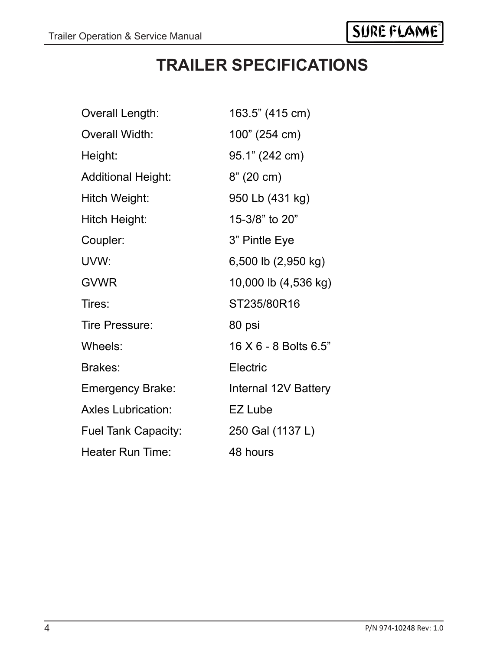### **TRAILER SPECIFICATIONS**

| Overall Length:            | 163.5" (415 cm)       |
|----------------------------|-----------------------|
| <b>Overall Width:</b>      | 100" (254 cm)         |
| Height:                    | 95.1" (242 cm)        |
| <b>Additional Height:</b>  | 8" (20 cm)            |
| Hitch Weight:              | 950 Lb (431 kg)       |
| Hitch Height:              | 15-3/8" to 20"        |
| Coupler:                   | 3" Pintle Eye         |
| UVW:                       | 6,500 lb (2,950 kg)   |
| <b>GVWR</b>                | 10,000 lb (4,536 kg)  |
| Tires:                     | ST235/80R16           |
| Tire Pressure:             | 80 psi                |
| Wheels:                    | 16 X 6 - 8 Bolts 6.5" |
| Brakes:                    | Electric              |
| <b>Emergency Brake:</b>    | Internal 12V Battery  |
| <b>Axles Lubrication:</b>  | EZ Lube               |
| <b>Fuel Tank Capacity:</b> | 250 Gal (1137 L)      |
| Heater Run Time:           | 48 hours              |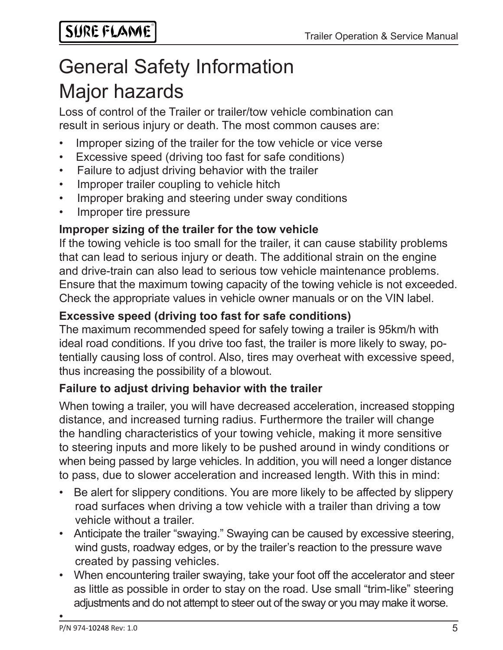# Major hazards General Safety Information

Loss of control of the Trailer or trailer/tow vehicle combination can result in serious injury or death. The most common causes are:

- Improper sizing of the trailer for the tow vehicle or vice verse
- Excessive speed (driving too fast for safe conditions)
- Failure to adjust driving behavior with the trailer
- Improper trailer coupling to vehicle hitch
- Improper braking and steering under sway conditions
- Improper tire pressure

#### **Improper sizing of the trailer for the tow vehicle**

If the towing vehicle is too small for the trailer, it can cause stability problems that can lead to serious injury or death. The additional strain on the engine and drive-train can also lead to serious tow vehicle maintenance problems. Ensure that the maximum towing capacity of the towing vehicle is not exceeded. Check the appropriate values in vehicle owner manuals or on the VIN label.

#### **Excessive speed (driving too fast for safe conditions)**

The maximum recommended speed for safely towing a trailer is 95km/h with ideal road conditions. If you drive too fast, the trailer is more likely to sway, potentially causing loss of control. Also, tires may overheat with excessive speed, thus increasing the possibility of a blowout.

#### **Failure to adjust driving behavior with the trailer**

When towing a trailer, you will have decreased acceleration, increased stopping distance, and increased turning radius. Furthermore the trailer will change the handling characteristics of your towing vehicle, making it more sensitive to steering inputs and more likely to be pushed around in windy conditions or when being passed by large vehicles. In addition, you will need a longer distance to pass, due to slower acceleration and increased length. With this in mind:

- Be alert for slippery conditions. You are more likely to be affected by slippery road surfaces when driving a tow vehicle with a trailer than driving a tow vehicle without a trailer.
- Anticipate the trailer "swaying." Swaying can be caused by excessive steering, wind gusts, roadway edges, or by the trailer's reaction to the pressure wave created by passing vehicles.
- When encountering trailer swaying, take your foot off the accelerator and steer as little as possible in order to stay on the road. Use small "trim-like" steering adjustments and do not attempt to steer out of the sway or you may make it worse.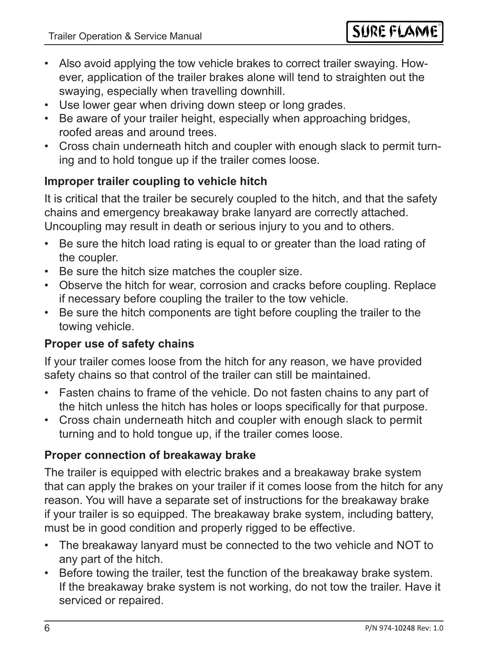- Also avoid applying the tow vehicle brakes to correct trailer swaying. However, application of the trailer brakes alone will tend to straighten out the swaying, especially when travelling downhill.
- Use lower gear when driving down steep or long grades.
- Be aware of your trailer height, especially when approaching bridges, roofed areas and around trees.
- Cross chain underneath hitch and coupler with enough slack to permit turning and to hold tongue up if the trailer comes loose.

### **Improper trailer coupling to vehicle hitch**

It is critical that the trailer be securely coupled to the hitch, and that the safety chains and emergency breakaway brake lanyard are correctly attached. Uncoupling may result in death or serious injury to you and to others.

- Be sure the hitch load rating is equal to or greater than the load rating of the coupler.
- Be sure the hitch size matches the coupler size.
- Observe the hitch for wear, corrosion and cracks before coupling. Replace if necessary before coupling the trailer to the tow vehicle.
- Be sure the hitch components are tight before coupling the trailer to the towing vehicle.

### **Proper use of safety chains**

If your trailer comes loose from the hitch for any reason, we have provided safety chains so that control of the trailer can still be maintained.

- Fasten chains to frame of the vehicle. Do not fasten chains to any part of the hitch unless the hitch has holes or loops specifically for that purpose.
- Cross chain underneath hitch and coupler with enough slack to permit turning and to hold tongue up, if the trailer comes loose.

### **Proper connection of breakaway brake**

The trailer is equipped with electric brakes and a breakaway brake system that can apply the brakes on your trailer if it comes loose from the hitch for any reason. You will have a separate set of instructions for the breakaway brake if your trailer is so equipped. The breakaway brake system, including battery, must be in good condition and properly rigged to be effective.

- The breakaway lanyard must be connected to the two vehicle and NOT to any part of the hitch.
- Before towing the trailer, test the function of the breakaway brake system. If the breakaway brake system is not working, do not tow the trailer. Have it serviced or repaired.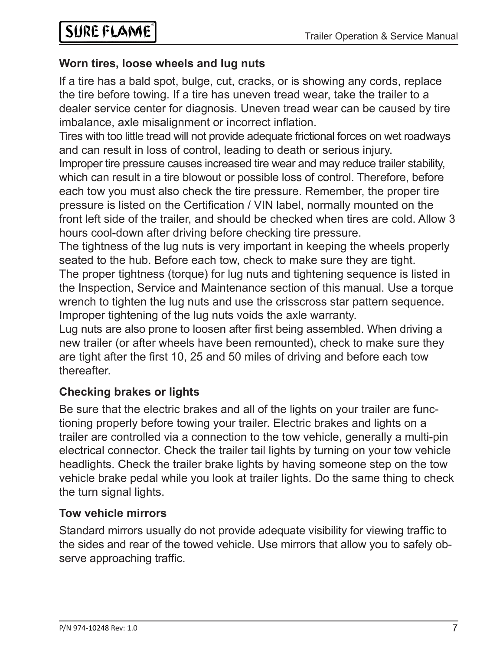#### **Worn tires, loose wheels and lug nuts**

If a tire has a bald spot, bulge, cut, cracks, or is showing any cords, replace the tire before towing. If a tire has uneven tread wear, take the trailer to a dealer service center for diagnosis. Uneven tread wear can be caused by tire imbalance, axle misalignment or incorrect inflation.

Tires with too little tread will not provide adequate frictional forces on wet roadways and can result in loss of control, leading to death or serious injury. Improper tire pressure causes increased tire wear and may reduce trailer stability, which can result in a tire blowout or possible loss of control. Therefore, before each tow you must also check the tire pressure. Remember, the proper tire pressure is listed on the Certification / VIN label, normally mounted on the front left side of the trailer, and should be checked when tires are cold. Allow 3 hours cool-down after driving before checking tire pressure.

The tightness of the lug nuts is very important in keeping the wheels properly seated to the hub. Before each tow, check to make sure they are tight.

The proper tightness (torque) for lug nuts and tightening sequence is listed in the Inspection, Service and Maintenance section of this manual. Use a torque wrench to tighten the lug nuts and use the crisscross star pattern sequence. Improper tightening of the lug nuts voids the axle warranty.

Lug nuts are also prone to loosen after first being assembled. When driving a new trailer (or after wheels have been remounted), check to make sure they are tight after the first 10, 25 and 50 miles of driving and before each tow thereafter.

### **Checking brakes or lights**

Be sure that the electric brakes and all of the lights on your trailer are functioning properly before towing your trailer. Electric brakes and lights on a trailer are controlled via a connection to the tow vehicle, generally a multi-pin electrical connector. Check the trailer tail lights by turning on your tow vehicle headlights. Check the trailer brake lights by having someone step on the tow vehicle brake pedal while you look at trailer lights. Do the same thing to check the turn signal lights.

### **Tow vehicle mirrors**

Standard mirrors usually do not provide adequate visibility for viewing traffic to the sides and rear of the towed vehicle. Use mirrors that allow you to safely observe approaching traffic.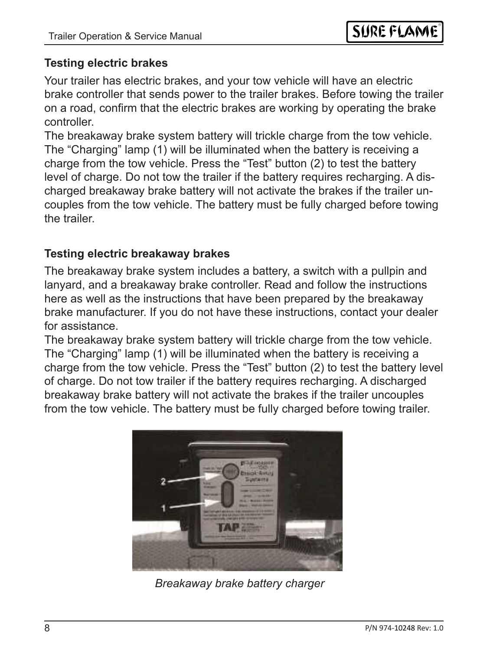#### **Testing electric brakes**

Your trailer has electric brakes, and your tow vehicle will have an electric brake controller that sends power to the trailer brakes. Before towing the trailer on a road, confirm that the electric brakes are working by operating the brake controller.

The breakaway brake system battery will trickle charge from the tow vehicle. The "Charging" lamp (1) will be illuminated when the battery is receiving a charge from the tow vehicle. Press the "Test" button (2) to test the battery level of charge. Do not tow the trailer if the battery requires recharging. A discharged breakaway brake battery will not activate the brakes if the trailer uncouples from the tow vehicle. The battery must be fully charged before towing the trailer.

#### **Testing electric breakaway brakes**

The breakaway brake system includes a battery, a switch with a pullpin and lanyard, and a breakaway brake controller. Read and follow the instructions here as well as the instructions that have been prepared by the breakaway brake manufacturer. If you do not have these instructions, contact your dealer for assistance.

The breakaway brake system battery will trickle charge from the tow vehicle. The "Charging" lamp (1) will be illuminated when the battery is receiving a charge from the tow vehicle. Press the "Test" button (2) to test the battery level of charge. Do not tow trailer if the battery requires recharging. A discharged breakaway brake battery will not activate the brakes if the trailer uncouples from the tow vehicle. The battery must be fully charged before towing trailer.



*Breakaway brake battery charger*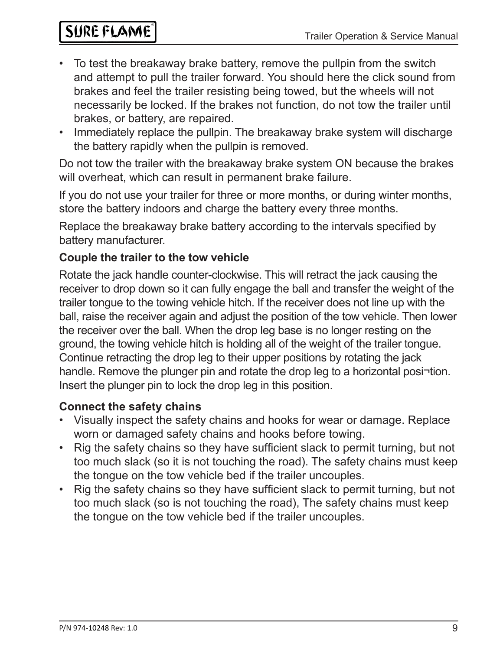## SURE FLAME

- To test the breakaway brake battery, remove the pullpin from the switch and attempt to pull the trailer forward. You should here the click sound from brakes and feel the trailer resisting being towed, but the wheels will not necessarily be locked. If the brakes not function, do not tow the trailer until brakes, or battery, are repaired.
- Immediately replace the pullpin. The breakaway brake system will discharge the battery rapidly when the pullpin is removed.

Do not tow the trailer with the breakaway brake system ON because the brakes will overheat, which can result in permanent brake failure.

If you do not use your trailer for three or more months, or during winter months, store the battery indoors and charge the battery every three months.

Replace the breakaway brake battery according to the intervals specified by battery manufacturer.

#### **Couple the trailer to the tow vehicle**

Rotate the jack handle counter-clockwise. This will retract the jack causing the receiver to drop down so it can fully engage the ball and transfer the weight of the trailer tongue to the towing vehicle hitch. If the receiver does not line up with the ball, raise the receiver again and adjust the position of the tow vehicle. Then lower the receiver over the ball. When the drop leg base is no longer resting on the ground, the towing vehicle hitch is holding all of the weight of the trailer tongue. Continue retracting the drop leg to their upper positions by rotating the jack handle. Remove the plunger pin and rotate the drop leg to a horizontal posi-tion. Insert the plunger pin to lock the drop leg in this position.

#### **Connect the safety chains**

- Visually inspect the safety chains and hooks for wear or damage. Replace worn or damaged safety chains and hooks before towing.
- Rig the safety chains so they have sufficient slack to permit turning, but not too much slack (so it is not touching the road). The safety chains must keep the tongue on the tow vehicle bed if the trailer uncouples.
- Rig the safety chains so they have sufficient slack to permit turning, but not too much slack (so is not touching the road), The safety chains must keep the tongue on the tow vehicle bed if the trailer uncouples.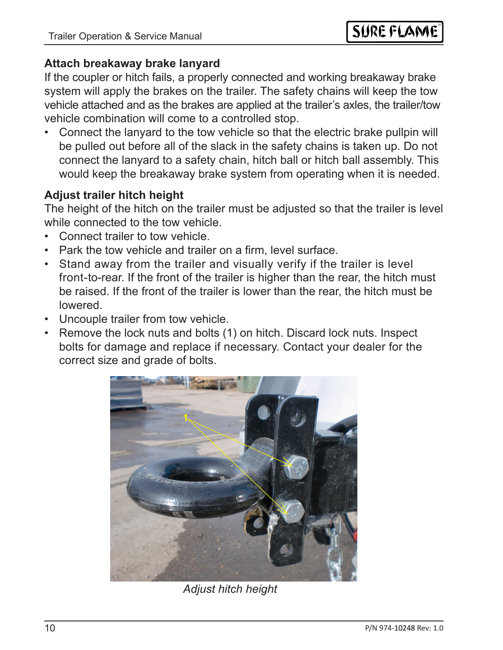#### **Attach breakaway brake lanyard**

If the coupler or hitch fails, a properly connected and working breakaway brake system will apply the brakes on the trailer. The safety chains will keep the tow vehicle attached and as the brakes are applied at the trailer's axles, the trailer/tow vehicle combination will come to a controlled stop.

• Connect the lanyard to the tow vehicle so that the electric brake pullpin will be pulled out before all of the slack in the safety chains is taken up. Do not connect the lanyard to a safety chain, hitch ball or hitch ball assembly. This would keep the breakaway brake system from operating when it is needed.

#### **Adjust trailer hitch height**

The height of the hitch on the trailer must be adjusted so that the trailer is level while connected to the tow vehicle.

- Connect trailer to tow vehicle.
- Park the tow vehicle and trailer on a firm, level surface.
- Stand away from the trailer and visually verify if the trailer is level front-to-rear. If the front of the trailer is higher than the rear, the hitch must be raised. If the front of the trailer is lower than the rear, the hitch must be lowered.
- Uncouple trailer from tow vehicle.
- Remove the lock nuts and bolts (1) on hitch. Discard lock nuts. Inspect bolts for damage and replace if necessary. Contact your dealer for the correct size and grade of bolts.



*Adjust hitch height*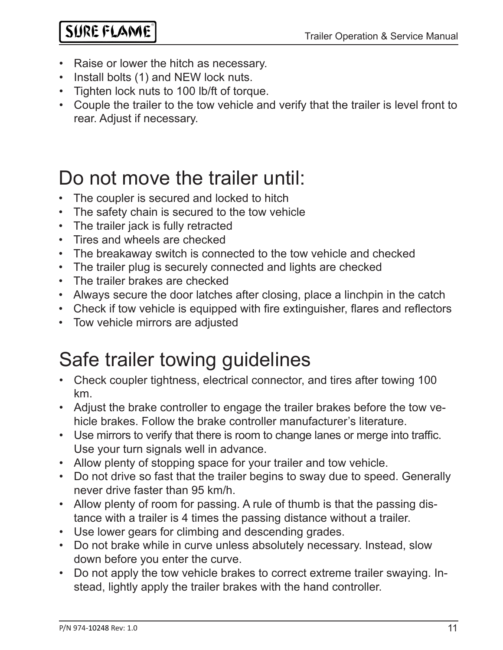- Raise or lower the hitch as necessary.
- Install bolts (1) and NEW lock nuts.
- Tighten lock nuts to 100 lb/ft of torque.
- Couple the trailer to the tow vehicle and verify that the trailer is level front to rear. Adjust if necessary.

# Do not move the trailer until:

- The coupler is secured and locked to hitch
- The safety chain is secured to the tow vehicle
- The trailer jack is fully retracted
- Tires and wheels are checked
- The breakaway switch is connected to the tow vehicle and checked
- The trailer plug is securely connected and lights are checked
- The trailer brakes are checked
- Always secure the door latches after closing, place a linchpin in the catch
- Check if tow vehicle is equipped with fire extinguisher, flares and reflectors
- Tow vehicle mirrors are adjusted

# Safe trailer towing guidelines

- Check coupler tightness, electrical connector, and tires after towing 100 km.
- Adjust the brake controller to engage the trailer brakes before the tow vehicle brakes. Follow the brake controller manufacturer's literature.
- Use mirrors to verify that there is room to change lanes or merge into traffic. Use your turn signals well in advance.
- Allow plenty of stopping space for your trailer and tow vehicle.
- Do not drive so fast that the trailer begins to sway due to speed. Generally never drive faster than 95 km/h.
- Allow plenty of room for passing. A rule of thumb is that the passing distance with a trailer is 4 times the passing distance without a trailer.
- Use lower gears for climbing and descending grades.
- Do not brake while in curve unless absolutely necessary. Instead, slow down before you enter the curve.
- Do not apply the tow vehicle brakes to correct extreme trailer swaying. Instead, lightly apply the trailer brakes with the hand controller.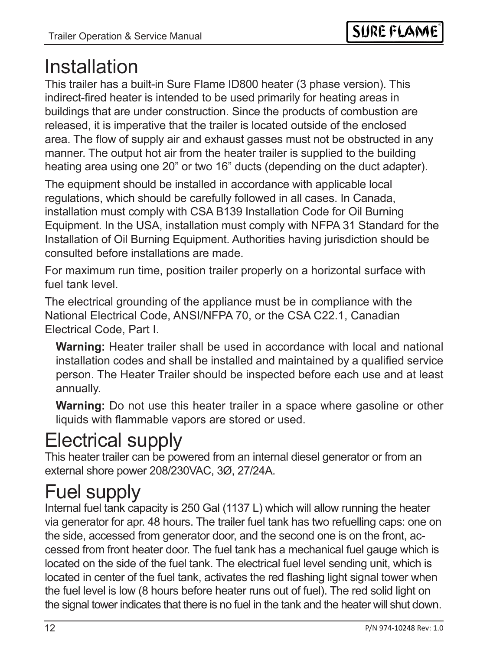## Installation

This trailer has a built-in Sure Flame ID800 heater (3 phase version). This indirect-fired heater is intended to be used primarily for heating areas in buildings that are under construction. Since the products of combustion are released, it is imperative that the trailer is located outside of the enclosed area. The flow of supply air and exhaust gasses must not be obstructed in any manner. The output hot air from the heater trailer is supplied to the building heating area using one 20" or two 16" ducts (depending on the duct adapter).

The equipment should be installed in accordance with applicable local regulations, which should be carefully followed in all cases. In Canada, installation must comply with CSA B139 Installation Code for Oil Burning Equipment. In the USA, installation must comply with NFPA 31 Standard for the Installation of Oil Burning Equipment. Authorities having jurisdiction should be consulted before installations are made.

For maximum run time, position trailer properly on a horizontal surface with fuel tank level.

The electrical grounding of the appliance must be in compliance with the National Electrical Code, ANSI/NFPA 70, or the CSA C22.1, Canadian Electrical Code, Part I.

**Warning:** Heater trailer shall be used in accordance with local and national installation codes and shall be installed and maintained by a qualified service person. The Heater Trailer should be inspected before each use and at least annually.

**Warning:** Do not use this heater trailer in a space where gasoline or other liquids with flammable vapors are stored or used.

# Electrical supply

This heater trailer can be powered from an internal diesel generator or from an external shore power 208/230VAC, 3Ø, 27/24A.

# Fuel supply

Internal fuel tank capacity is 250 Gal (1137 L) which will allow running the heater via generator for apr. 48 hours. The trailer fuel tank has two refuelling caps: one on the side, accessed from generator door, and the second one is on the front, accessed from front heater door. The fuel tank has a mechanical fuel gauge which is located on the side of the fuel tank. The electrical fuel level sending unit, which is located in center of the fuel tank, activates the red flashing light signal tower when the fuel level is low (8 hours before heater runs out of fuel). The red solid light on the signal tower indicates that there is no fuel in the tank and the heater will shut down.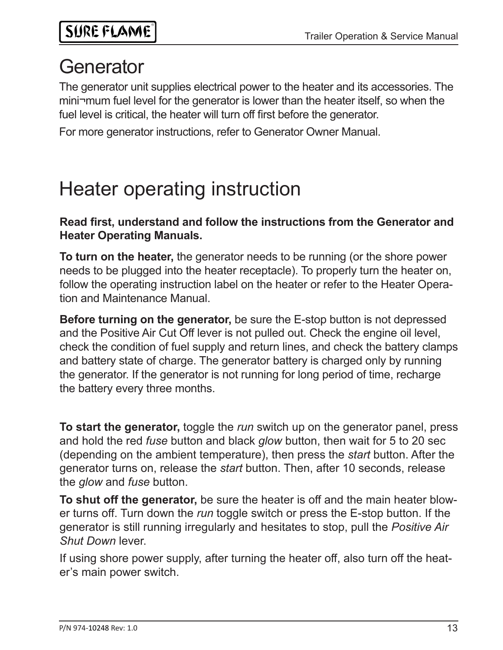# **Generator**

The generator unit supplies electrical power to the heater and its accessories. The mini¬mum fuel level for the generator is lower than the heater itself, so when the fuel level is critical, the heater will turn off first before the generator.

For more generator instructions, refer to Generator Owner Manual.

# Heater operating instruction

**Read first, understand and follow the instructions from the Generator and Heater Operating Manuals.** 

**To turn on the heater,** the generator needs to be running (or the shore power needs to be plugged into the heater receptacle). To properly turn the heater on, follow the operating instruction label on the heater or refer to the Heater Operation and Maintenance Manual.

**Before turning on the generator,** be sure the E-stop button is not depressed and the Positive Air Cut Off lever is not pulled out. Check the engine oil level, check the condition of fuel supply and return lines, and check the battery clamps and battery state of charge. The generator battery is charged only by running the generator. If the generator is not running for long period of time, recharge the battery every three months.

**To start the generator,** toggle the *run* switch up on the generator panel, press and hold the red *fuse* button and black *glow* button, then wait for 5 to 20 sec (depending on the ambient temperature), then press the *start* button. After the generator turns on, release the *start* button. Then, after 10 seconds, release the *glow* and *fuse* button.

**To shut off the generator,** be sure the heater is off and the main heater blower turns off. Turn down the *run* toggle switch or press the E-stop button. If the generator is still running irregularly and hesitates to stop, pull the *Positive Air Shut Down* lever.

If using shore power supply, after turning the heater off, also turn off the heater's main power switch.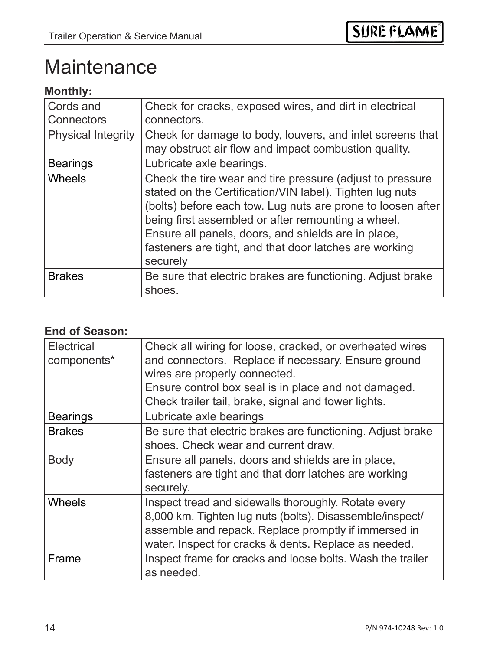## **Maintenance**

### **Monthly:**

| Cords and<br><b>Connectors</b> | Check for cracks, exposed wires, and dirt in electrical<br>connectors.                                                                                                                                                                                                                                                                                                  |
|--------------------------------|-------------------------------------------------------------------------------------------------------------------------------------------------------------------------------------------------------------------------------------------------------------------------------------------------------------------------------------------------------------------------|
| <b>Physical Integrity</b>      | Check for damage to body, louvers, and inlet screens that<br>may obstruct air flow and impact combustion quality.                                                                                                                                                                                                                                                       |
| <b>Bearings</b>                | Lubricate axle bearings.                                                                                                                                                                                                                                                                                                                                                |
| <b>Wheels</b>                  | Check the tire wear and tire pressure (adjust to pressure<br>stated on the Certification/VIN label). Tighten lug nuts<br>(bolts) before each tow. Lug nuts are prone to loosen after<br>being first assembled or after remounting a wheel.<br>Ensure all panels, doors, and shields are in place,<br>fasteners are tight, and that door latches are working<br>securely |
| <b>Brakes</b>                  | Be sure that electric brakes are functioning. Adjust brake<br>shoes.                                                                                                                                                                                                                                                                                                    |

#### **End of Season:**

| <b>Electrical</b><br>components* | Check all wiring for loose, cracked, or overheated wires<br>and connectors. Replace if necessary. Ensure ground<br>wires are properly connected.<br>Ensure control box seal is in place and not damaged.<br>Check trailer tail, brake, signal and tower lights. |
|----------------------------------|-----------------------------------------------------------------------------------------------------------------------------------------------------------------------------------------------------------------------------------------------------------------|
| <b>Bearings</b>                  | Lubricate axle bearings                                                                                                                                                                                                                                         |
| <b>Brakes</b>                    | Be sure that electric brakes are functioning. Adjust brake<br>shoes. Check wear and current draw.                                                                                                                                                               |
| <b>Body</b>                      | Ensure all panels, doors and shields are in place,<br>fasteners are tight and that dorr latches are working<br>securely.                                                                                                                                        |
| <b>Wheels</b>                    | Inspect tread and sidewalls thoroughly. Rotate every<br>8,000 km. Tighten lug nuts (bolts). Disassemble/inspect/<br>assemble and repack. Replace promptly if immersed in<br>water. Inspect for cracks & dents. Replace as needed.                               |
| Frame                            | Inspect frame for cracks and loose bolts. Wash the trailer<br>as needed.                                                                                                                                                                                        |